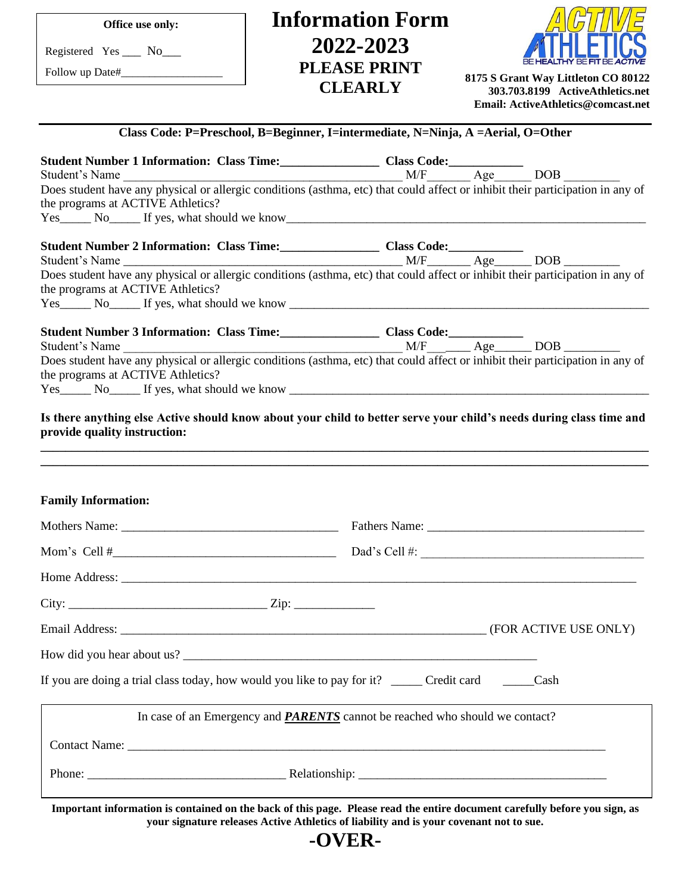| Office use only:                  | <b>Information Form</b>                                                                                                                                                                                             |                                                                        |
|-----------------------------------|---------------------------------------------------------------------------------------------------------------------------------------------------------------------------------------------------------------------|------------------------------------------------------------------------|
| Registered Yes ____ No____        | 2022-2023                                                                                                                                                                                                           |                                                                        |
|                                   | <b>PLEASE PRINT</b>                                                                                                                                                                                                 | 8175 S Grant Way Littleton CO 80122                                    |
|                                   | <b>CLEARLY</b>                                                                                                                                                                                                      | 303.703.8199 ActiveAthletics.net<br>Email: ActiveAthletics@comcast.net |
|                                   | Class Code: P=Preschool, B=Beginner, I=intermediate, N=Ninja, A =Aerial, O=Other                                                                                                                                    |                                                                        |
|                                   | Student Number 1 Information: Class Time:<br><u>Class Code:</u><br>Student's Name<br>Does student have any physical or allergic conditions (asthma, etc) that could affect or inhibit their participation in any of |                                                                        |
| the programs at ACTIVE Athletics? |                                                                                                                                                                                                                     |                                                                        |
|                                   | Yes No If yes, what should we know                                                                                                                                                                                  |                                                                        |
|                                   |                                                                                                                                                                                                                     |                                                                        |
|                                   | Does student have any physical or allergic conditions (asthma, etc) that could affect or inhibit their participation in any of                                                                                      |                                                                        |
| the programs at ACTIVE Athletics? |                                                                                                                                                                                                                     |                                                                        |
|                                   |                                                                                                                                                                                                                     |                                                                        |
|                                   | Student Number 3 Information: Class Time:<br>Student's Name<br>Does student have any physical or allergic conditions (asthma, etc) that could affect or inhibit their participation in any of                       |                                                                        |
|                                   |                                                                                                                                                                                                                     |                                                                        |
| the programs at ACTIVE Athletics? |                                                                                                                                                                                                                     |                                                                        |
| provide quality instruction:      |                                                                                                                                                                                                                     |                                                                        |
| <b>Family Information:</b>        |                                                                                                                                                                                                                     |                                                                        |
|                                   |                                                                                                                                                                                                                     |                                                                        |
|                                   |                                                                                                                                                                                                                     |                                                                        |
|                                   |                                                                                                                                                                                                                     |                                                                        |
|                                   |                                                                                                                                                                                                                     |                                                                        |
|                                   |                                                                                                                                                                                                                     |                                                                        |
|                                   |                                                                                                                                                                                                                     |                                                                        |
|                                   | If you are doing a trial class today, how would you like to pay for it? _____ Credit card ______ Cash                                                                                                               |                                                                        |
|                                   | In case of an Emergency and <b>PARENTS</b> cannot be reached who should we contact?                                                                                                                                 |                                                                        |
|                                   |                                                                                                                                                                                                                     |                                                                        |
|                                   |                                                                                                                                                                                                                     |                                                                        |
|                                   | Important information is contained on the back of this page. Please read the entire document carefully before you sign, as                                                                                          |                                                                        |

**your signature releases Active Athletics of liability and is your covenant not to sue.**

**-OVER-**